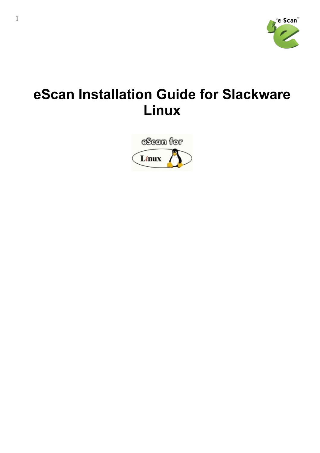

# **eScan Installation Guide for Slackware Linux**

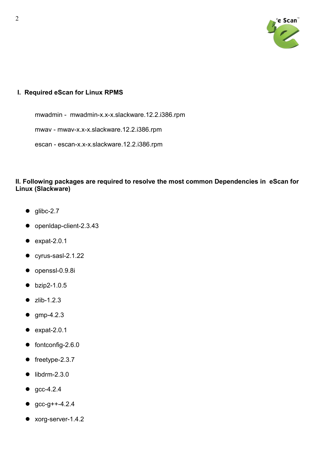

## **I. Required eScan for Linux RPMS**

mwadmin - mwadmin-x.x-x.slackware.12.2.i386.rpm

mwav - mwav-x.x-x.slackware.12.2.i386.rpm

escan - escan-x.x-x.slackware.12.2.i386.rpm

## **II. Following packages are required to resolve the most common Dependencies in eScan for Linux (Slackware)**

- $\bullet$  glibc-2.7
- openIdap-client-2.3.43
- $\bullet$  expat-2.0.1
- $\bullet$  cyrus-sasl-2.1.22
- $\bullet$  openssl-0.9.8i
- $\bullet$  bzip2-1.0.5
- $\bullet$  zlib-1.2.3
- $\bullet$  gmp-4.2.3
- $\bullet$  expat-2.0.1
- $\bullet$  fontconfig-2.6.0
- $\bullet$  freetype-2.3.7
- $\bullet$  libdrm-2.3.0
- $qcc-4.2.4$
- $qcc-q++-4.2.4$
- xorg-server-1.4.2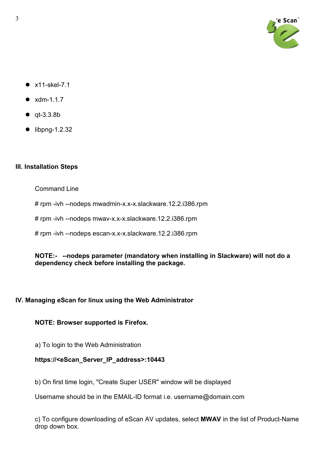

- $\bullet$  x11-skel-7.1
- $\bullet$  xdm-1.1.7
- $\bullet$  qt-3.3.8b
- $\bullet$  libpng-1.2.32

# **III. Installation Steps**

Command Line

# rpm -ivh --nodeps mwadmin-x.x-x.slackware.12.2.i386.rpm

# rpm -ivh --nodeps mwav-x.x-x.slackware.12.2.i386.rpm

# rpm -ivh --nodeps escan-x.x-x.slackware.12.2.i386.rpm

#### **NOTE:- --nodeps parameter (mandatory when installing in Slackware) will not do a dependency check before installing the package.**

# **IV. Managing eScan for linux using the Web Administrator**

## **NOTE: Browser supported is Firefox.**

a) To login to the Web Administration

# **https://<eScan\_Server\_IP\_address>:10443**

b) On first time login, "Create Super USER" window will be displayed

Username should be in the EMAIL-ID format i.e. username@domain.com

c) To configure downloading of eScan AV updates, select **MWAV** in the list of Product-Name drop down box.